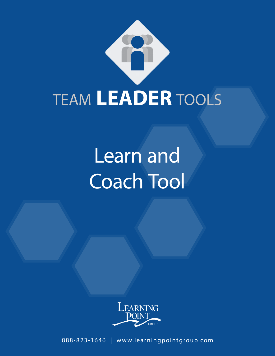

# Learn and Coach Tool



888-823-1646 | www.learningpointgroup.com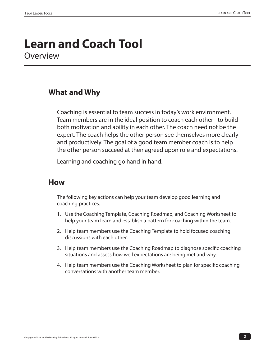### **Learn and Coach Tool Overview**

#### **What and Why**

Coaching is essential to team success in today's work environment. Team members are in the ideal position to coach each other - to build both motivation and ability in each other. The coach need not be the expert. The coach helps the other person see themselves more clearly and productively. The goal of a good team member coach is to help the other person succeed at their agreed upon role and expectations.

Learning and coaching go hand in hand.

#### **How**

The following key actions can help your team develop good learning and coaching practices.

- 1. Use the Coaching Template, Coaching Roadmap, and Coaching Worksheet to help your team learn and establish a pattern for coaching within the team.
- 2. Help team members use the Coaching Template to hold focused coaching discussions with each other.
- 3. Help team members use the Coaching Roadmap to diagnose specific coaching situations and assess how well expectations are being met and why.
- 4. Help team members use the Coaching Worksheet to plan for specific coaching conversations with another team member.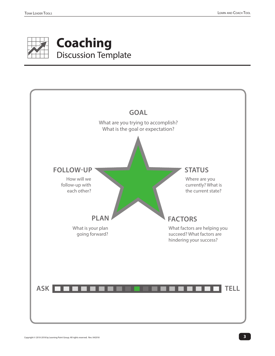

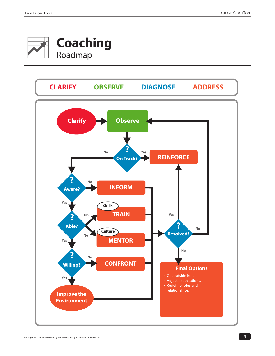

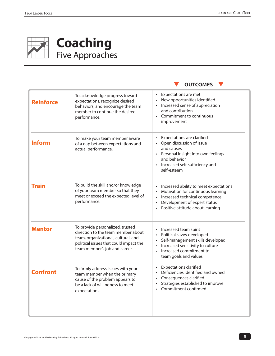

## **Coaching** Five Approaches



| <b>Reinforce</b> | To acknowledge progress toward<br>expectations, recognize desired<br>behaviors, and encourage the team<br>member to continue the desired<br>performance.                                 | Expectations are met<br>New opportunities identified<br>Increased sense of appreciation<br>and contribution<br>Commitment to continuous<br>improvement                                                       |
|------------------|------------------------------------------------------------------------------------------------------------------------------------------------------------------------------------------|--------------------------------------------------------------------------------------------------------------------------------------------------------------------------------------------------------------|
| <b>Inform</b>    | To make your team member aware<br>of a gap between expectations and<br>actual performance.                                                                                               | <b>Expectations are clarified</b><br>$\bullet$<br>Open discussion of issue<br>and causes<br>• Personal insight into own feelings<br>and behavior<br>• Increased self-sufficiency and<br>self-esteem          |
| <b>Train</b>     | To build the skill and/or knowledge<br>of your team member so that they<br>meet or exceed the expected level of<br>performance.                                                          | Increased ability to meet expectations<br>Motivation for continuous learning<br>$\bullet$<br>Increased technical competence<br>$\bullet$<br>Development of expert status<br>Positive attitude about learning |
| <b>Mentor</b>    | To provide personalized, trusted<br>direction to the team member about<br>team, organizational, cultural, and<br>political issues that could impact the<br>team member's job and career. | Increased team spirit<br>Political savvy developed<br>Self-management skills developed<br>Increased sensitivity to culture<br>$\bullet$<br>Increased commitment to<br>$\bullet$<br>team goals and values     |
| <b>Confront</b>  | To firmly address issues with your<br>team member when the primary<br>cause of the problem appears to<br>be a lack of willingness to meet<br>expectations.                               | <b>Expectations clarified</b><br>Deficiencies identified and owned<br>Consequences clarified<br>Strategies established to improve<br>Commitment confirmed                                                    |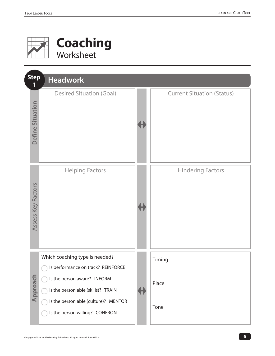

## **Coaching** Worksheet

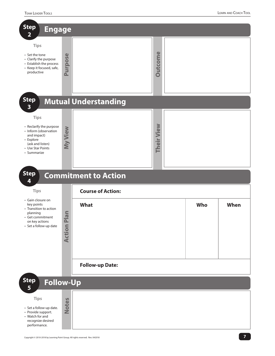